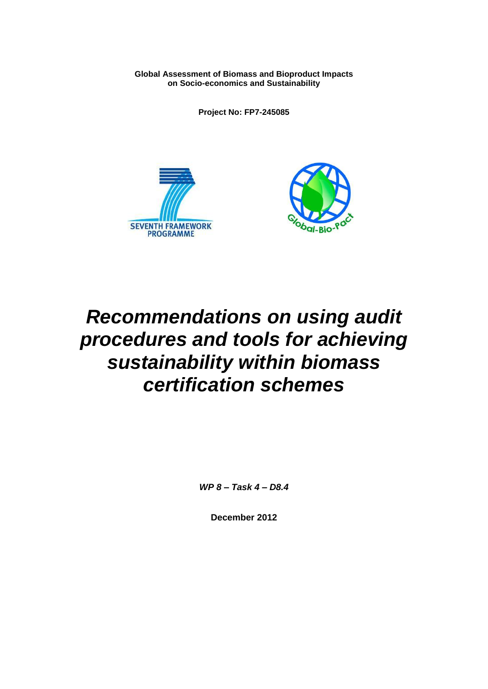**Global Assessment of Biomass and Bioproduct Impacts on Socio-economics and Sustainability**

**Project No: FP7-245085**





# *Recommendations on using audit procedures and tools for achieving sustainability within biomass certification schemes*

*WP 8 – Task 4 – D8.4*

**December 2012**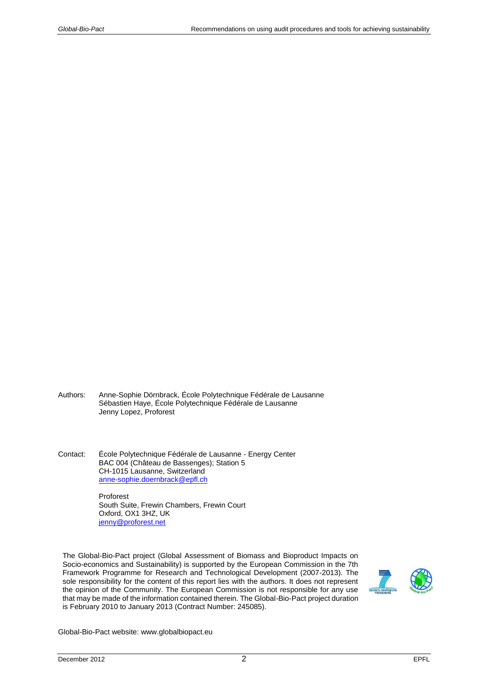- Authors: Anne-Sophie Dörnbrack, École Polytechnique Fédérale de Lausanne Sébastien Haye, École Polytechnique Fédérale de Lausanne Jenny Lopez, Proforest
- Contact: École Polytechnique Fédérale de Lausanne Energy Center BAC 004 (Château de Bassenges); Station 5 CH-1015 Lausanne, Switzerland [anne-sophie.doernbrack@epfl.ch](mailto:anne-sophie.doernbrack@epfl.ch)

Proforest South Suite, Frewin Chambers, Frewin Court Oxford, OX1 3HZ, UK [jenny@proforest.net](mailto:jenny@proforest.net)

The Global-Bio-Pact project (Global Assessment of Biomass and Bioproduct Impacts on Socio-economics and Sustainability) is supported by the European Commission in the 7th Framework Programme for Research and Technological Development (2007-2013). The sole responsibility for the content of this report lies with the authors. It does not represent the opinion of the Community. The European Commission is not responsible for any use that may be made of the information contained therein. The Global-Bio-Pact project duration is February 2010 to January 2013 (Contract Number: 245085).



Global-Bio-Pact website: www.globalbiopact.eu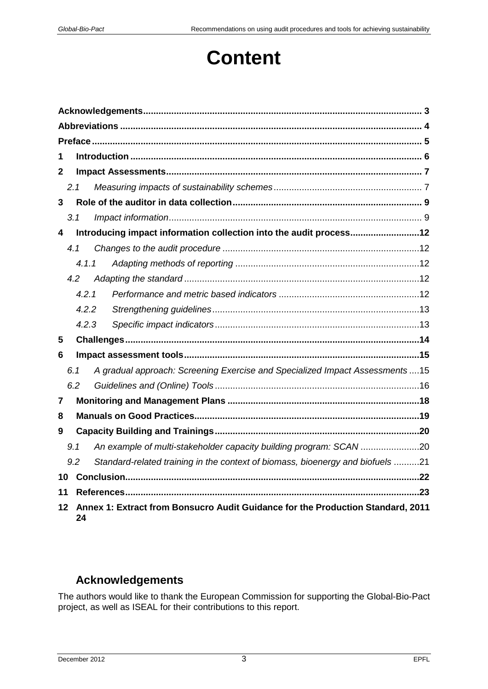# **Content**

| 1                       |                                                                                       |       |  |                                                                                |  |  |
|-------------------------|---------------------------------------------------------------------------------------|-------|--|--------------------------------------------------------------------------------|--|--|
| 2                       |                                                                                       |       |  |                                                                                |  |  |
|                         | 2.1                                                                                   |       |  |                                                                                |  |  |
| 3                       |                                                                                       |       |  |                                                                                |  |  |
|                         | 3.1                                                                                   |       |  |                                                                                |  |  |
| 4                       |                                                                                       |       |  | Introducing impact information collection into the audit process12             |  |  |
|                         | 4.1                                                                                   |       |  |                                                                                |  |  |
|                         |                                                                                       | 4.1.1 |  |                                                                                |  |  |
|                         | 4.2                                                                                   |       |  |                                                                                |  |  |
|                         |                                                                                       | 4.2.1 |  |                                                                                |  |  |
|                         |                                                                                       | 4.2.2 |  |                                                                                |  |  |
|                         |                                                                                       | 4.2.3 |  |                                                                                |  |  |
| 5                       |                                                                                       |       |  |                                                                                |  |  |
| 6                       |                                                                                       |       |  |                                                                                |  |  |
|                         | 6.1                                                                                   |       |  | A gradual approach: Screening Exercise and Specialized Impact Assessments15    |  |  |
|                         | 6.2                                                                                   |       |  |                                                                                |  |  |
| $\overline{\mathbf{r}}$ |                                                                                       |       |  |                                                                                |  |  |
| 8                       |                                                                                       |       |  |                                                                                |  |  |
| 9                       |                                                                                       |       |  |                                                                                |  |  |
|                         | 9.1                                                                                   |       |  | An example of multi-stakeholder capacity building program: SCAN 20             |  |  |
|                         | 9.2                                                                                   |       |  | Standard-related training in the context of biomass, bioenergy and biofuels 21 |  |  |
| 10                      |                                                                                       |       |  |                                                                                |  |  |
| 11                      |                                                                                       |       |  |                                                                                |  |  |
| 12                      | Annex 1: Extract from Bonsucro Audit Guidance for the Production Standard, 2011<br>24 |       |  |                                                                                |  |  |

# <span id="page-2-0"></span>**Acknowledgements**

The authors would like to thank the European Commission for supporting the Global-Bio-Pact project, as well as ISEAL for their contributions to this report.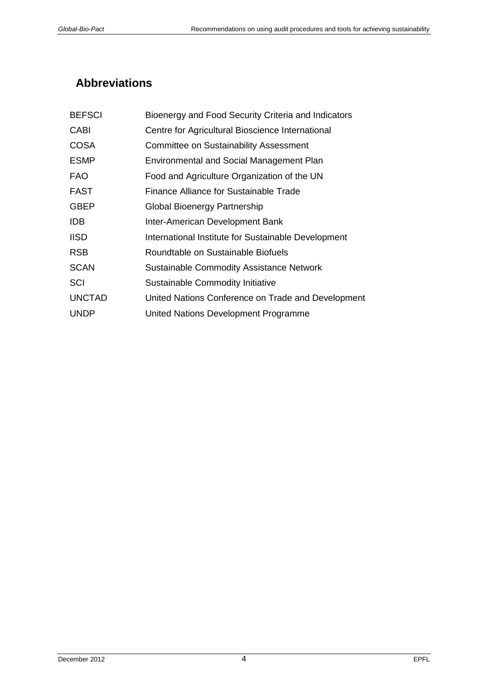# <span id="page-3-0"></span>**Abbreviations**

| <b>BEFSCI</b> | Bioenergy and Food Security Criteria and Indicators |
|---------------|-----------------------------------------------------|
| <b>CABI</b>   | Centre for Agricultural Bioscience International    |
| <b>COSA</b>   | <b>Committee on Sustainability Assessment</b>       |
| <b>ESMP</b>   | <b>Environmental and Social Management Plan</b>     |
| <b>FAO</b>    | Food and Agriculture Organization of the UN         |
| <b>FAST</b>   | <b>Finance Alliance for Sustainable Trade</b>       |
| <b>GBEP</b>   | Global Bioenergy Partnership                        |
| <b>IDB</b>    | Inter-American Development Bank                     |
| <b>IISD</b>   | International Institute for Sustainable Development |
| <b>RSB</b>    | Roundtable on Sustainable Biofuels                  |
| <b>SCAN</b>   | <b>Sustainable Commodity Assistance Network</b>     |
| SCI           | <b>Sustainable Commodity Initiative</b>             |
| <b>UNCTAD</b> | United Nations Conference on Trade and Development  |
| <b>UNDP</b>   | United Nations Development Programme                |
|               |                                                     |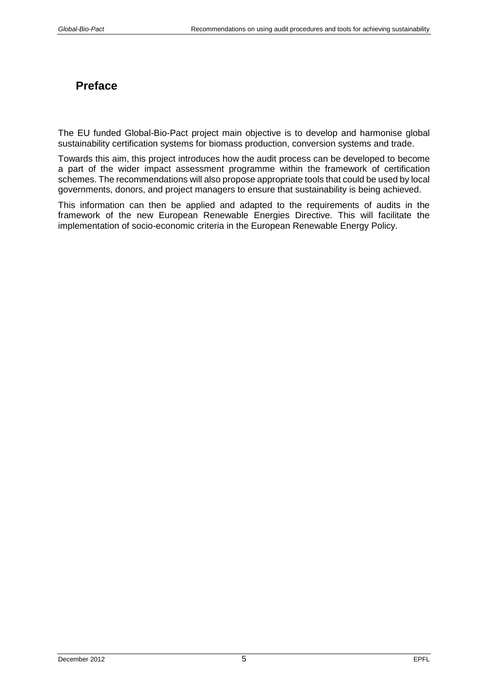# <span id="page-4-0"></span>**Preface**

The EU funded Global-Bio-Pact project main objective is to develop and harmonise global sustainability certification systems for biomass production, conversion systems and trade.

Towards this aim, this project introduces how the audit process can be developed to become a part of the wider impact assessment programme within the framework of certification schemes. The recommendations will also propose appropriate tools that could be used by local governments, donors, and project managers to ensure that sustainability is being achieved.

This information can then be applied and adapted to the requirements of audits in the framework of the new European Renewable Energies Directive. This will facilitate the implementation of socio-economic criteria in the European Renewable Energy Policy.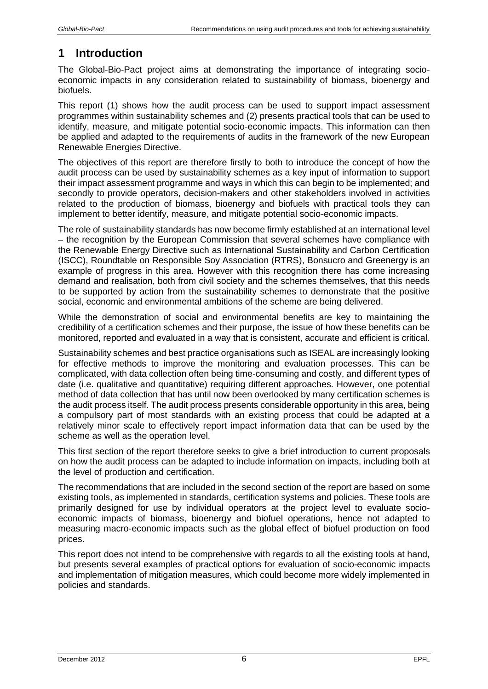# <span id="page-5-0"></span>**1 Introduction**

The Global-Bio-Pact project aims at demonstrating the importance of integrating socioeconomic impacts in any consideration related to sustainability of biomass, bioenergy and biofuels.

This report (1) shows how the audit process can be used to support impact assessment programmes within sustainability schemes and (2) presents practical tools that can be used to identify, measure, and mitigate potential socio-economic impacts. This information can then be applied and adapted to the requirements of audits in the framework of the new European Renewable Energies Directive.

The objectives of this report are therefore firstly to both to introduce the concept of how the audit process can be used by sustainability schemes as a key input of information to support their impact assessment programme and ways in which this can begin to be implemented; and secondly to provide operators, decision-makers and other stakeholders involved in activities related to the production of biomass, bioenergy and biofuels with practical tools they can implement to better identify, measure, and mitigate potential socio-economic impacts.

The role of sustainability standards has now become firmly established at an international level – the recognition by the European Commission that several schemes have compliance with the Renewable Energy Directive such as International Sustainability and Carbon Certification (ISCC), Roundtable on Responsible Soy Association (RTRS), Bonsucro and Greenergy is an example of progress in this area. However with this recognition there has come increasing demand and realisation, both from civil society and the schemes themselves, that this needs to be supported by action from the sustainability schemes to demonstrate that the positive social, economic and environmental ambitions of the scheme are being delivered.

While the demonstration of social and environmental benefits are key to maintaining the credibility of a certification schemes and their purpose, the issue of how these benefits can be monitored, reported and evaluated in a way that is consistent, accurate and efficient is critical.

Sustainability schemes and best practice organisations such as ISEAL are increasingly looking for effective methods to improve the monitoring and evaluation processes. This can be complicated, with data collection often being time-consuming and costly, and different types of date (i.e. qualitative and quantitative) requiring different approaches. However, one potential method of data collection that has until now been overlooked by many certification schemes is the audit process itself. The audit process presents considerable opportunity in this area, being a compulsory part of most standards with an existing process that could be adapted at a relatively minor scale to effectively report impact information data that can be used by the scheme as well as the operation level.

This first section of the report therefore seeks to give a brief introduction to current proposals on how the audit process can be adapted to include information on impacts, including both at the level of production and certification.

The recommendations that are included in the second section of the report are based on some existing tools, as implemented in standards, certification systems and policies. These tools are primarily designed for use by individual operators at the project level to evaluate socioeconomic impacts of biomass, bioenergy and biofuel operations, hence not adapted to measuring macro-economic impacts such as the global effect of biofuel production on food prices.

This report does not intend to be comprehensive with regards to all the existing tools at hand, but presents several examples of practical options for evaluation of socio-economic impacts and implementation of mitigation measures, which could become more widely implemented in policies and standards.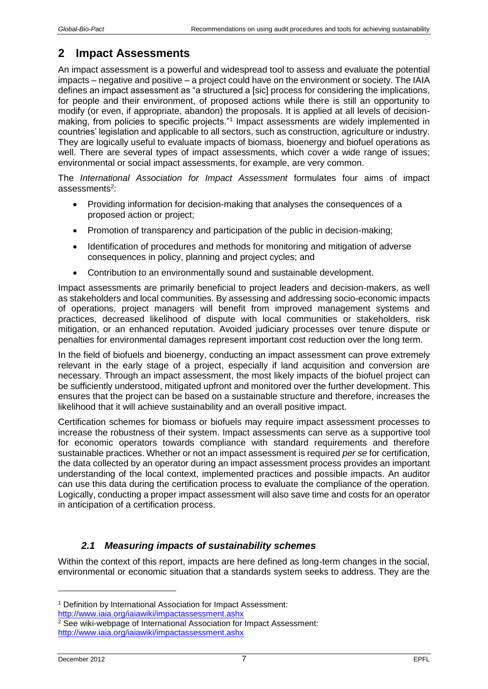# <span id="page-6-0"></span>**2 Impact Assessments**

An impact assessment is a powerful and widespread tool to assess and evaluate the potential impacts – negative and positive – a project could have on the environment or society. The IAIA defines an impact assessment as "a structured a [sic] process for considering the implications, for people and their environment, of proposed actions while there is still an opportunity to modify (or even, if appropriate, abandon) the proposals. It is applied at all levels of decisionmaking, from policies to specific projects."<sup>1</sup> Impact assessments are widely implemented in countries' legislation and applicable to all sectors, such as construction, agriculture or industry. They are logically useful to evaluate impacts of biomass, bioenergy and biofuel operations as well. There are several types of impact assessments, which cover a wide range of issues; environmental or social impact assessments, for example, are very common.

The *International Association for Impact Assessment* formulates four aims of impact assessments<sup>2</sup>:

- Providing information for decision-making that analyses the consequences of a proposed action or project;
- Promotion of transparency and participation of the public in decision-making;
- Identification of procedures and methods for monitoring and mitigation of adverse consequences in policy, planning and project cycles; and
- Contribution to an environmentally sound and sustainable development.

Impact assessments are primarily beneficial to project leaders and decision-makers, as well as stakeholders and local communities. By assessing and addressing socio-economic impacts of operations, project managers will benefit from improved management systems and practices, decreased likelihood of dispute with local communities or stakeholders, risk mitigation, or an enhanced reputation. Avoided judiciary processes over tenure dispute or penalties for environmental damages represent important cost reduction over the long term.

In the field of biofuels and bioenergy, conducting an impact assessment can prove extremely relevant in the early stage of a project, especially if land acquisition and conversion are necessary. Through an impact assessment, the most likely impacts of the biofuel project can be sufficiently understood, mitigated upfront and monitored over the further development. This ensures that the project can be based on a sustainable structure and therefore, increases the likelihood that it will achieve sustainability and an overall positive impact.

Certification schemes for biomass or biofuels may require impact assessment processes to increase the robustness of their system. Impact assessments can serve as a supportive tool for economic operators towards compliance with standard requirements and therefore sustainable practices. Whether or not an impact assessment is required *per se* for certification, the data collected by an operator during an impact assessment process provides an important understanding of the local context, implemented practices and possible impacts. An auditor can use this data during the certification process to evaluate the compliance of the operation. Logically, conducting a proper impact assessment will also save time and costs for an operator in anticipation of a certification process.

# *2.1 Measuring impacts of sustainability schemes*

<span id="page-6-1"></span>Within the context of this report, impacts are here defined as long-term changes in the social, environmental or economic situation that a standards system seeks to address. They are the

<http://www.iaia.org/iaiawiki/impactassessment.ashx>

<sup>1</sup> Definition by International Association for Impact Assessment:

<sup>2</sup> See wiki-webpage of International Association for Impact Assessment: <http://www.iaia.org/iaiawiki/impactassessment.ashx>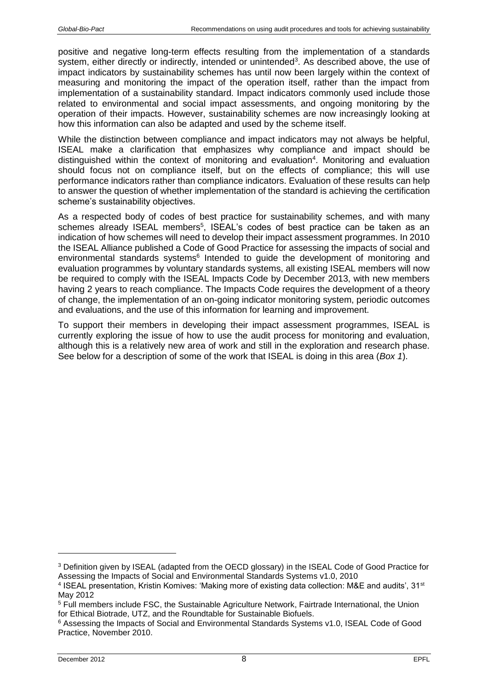positive and negative long-term effects resulting from the implementation of a standards system, either directly or indirectly, intended or unintended<sup>3</sup>. As described above, the use of impact indicators by sustainability schemes has until now been largely within the context of measuring and monitoring the impact of the operation itself, rather than the impact from implementation of a sustainability standard. Impact indicators commonly used include those related to environmental and social impact assessments, and ongoing monitoring by the operation of their impacts. However, sustainability schemes are now increasingly looking at how this information can also be adapted and used by the scheme itself.

While the distinction between compliance and impact indicators may not always be helpful, ISEAL make a clarification that emphasizes why compliance and impact should be distinguished within the context of monitoring and evaluation<sup>4</sup>. Monitoring and evaluation should focus not on compliance itself, but on the effects of compliance; this will use performance indicators rather than compliance indicators. Evaluation of these results can help to answer the question of whether implementation of the standard is achieving the certification scheme's sustainability objectives.

As a respected body of codes of best practice for sustainability schemes, and with many schemes already ISEAL members<sup>5</sup>, ISEAL's codes of best practice can be taken as an indication of how schemes will need to develop their impact assessment programmes. In 2010 the ISEAL Alliance published a Code of Good Practice for assessing the impacts of social and environmental standards systems<sup>6</sup> Intended to guide the development of monitoring and evaluation programmes by voluntary standards systems, all existing ISEAL members will now be required to comply with the ISEAL Impacts Code by December 2013, with new members having 2 years to reach compliance. The Impacts Code requires the development of a theory of change, the implementation of an on-going indicator monitoring system, periodic outcomes and evaluations, and the use of this information for learning and improvement.

To support their members in developing their impact assessment programmes, ISEAL is currently exploring the issue of how to use the audit process for monitoring and evaluation, although this is a relatively new area of work and still in the exploration and research phase. See below for a description of some of the work that ISEAL is doing in this area (*Box 1*).

<sup>&</sup>lt;sup>3</sup> Definition given by ISEAL (adapted from the OECD glossary) in the ISEAL Code of Good Practice for Assessing the Impacts of Social and Environmental Standards Systems v1.0, 2010

<sup>4</sup> ISEAL presentation, Kristin Komives: 'Making more of existing data collection: M&E and audits', 31st May 2012

<sup>5</sup> Full members include FSC, the Sustainable Agriculture Network, Fairtrade International, the Union for Ethical Biotrade, UTZ, and the Roundtable for Sustainable Biofuels.

<sup>6</sup> Assessing the Impacts of Social and Environmental Standards Systems v1.0, ISEAL Code of Good Practice, November 2010.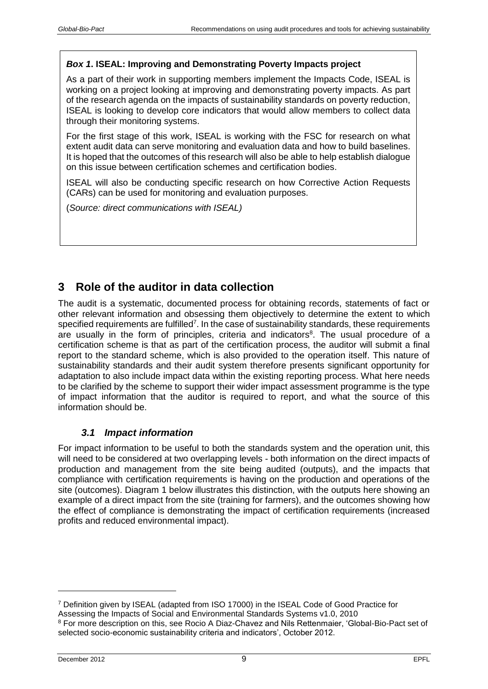#### *Box 1***. ISEAL: Improving and Demonstrating Poverty Impacts project**

As a part of their work in supporting members implement the Impacts Code, ISEAL is working on a project looking at improving and demonstrating poverty impacts. As part of the research agenda on the impacts of sustainability standards on poverty reduction, ISEAL is looking to develop core indicators that would allow members to collect data through their monitoring systems.

For the first stage of this work, ISEAL is working with the FSC for research on what extent audit data can serve monitoring and evaluation data and how to build baselines. It is hoped that the outcomes of this research will also be able to help establish dialogue on this issue between certification schemes and certification bodies.

ISEAL will also be conducting specific research on how Corrective Action Requests (CARs) can be used for monitoring and evaluation purposes.

(*Source: direct communications with ISEAL)*

# <span id="page-8-0"></span>**3 Role of the auditor in data collection**

The audit is a systematic, documented process for obtaining records, statements of fact or other relevant information and obsessing them objectively to determine the extent to which specified requirements are fulfilled<sup>7</sup>. In the case of sustainability standards, these requirements are usually in the form of principles, criteria and indicators<sup>8</sup>. The usual procedure of a certification scheme is that as part of the certification process, the auditor will submit a final report to the standard scheme, which is also provided to the operation itself. This nature of sustainability standards and their audit system therefore presents significant opportunity for adaptation to also include impact data within the existing reporting process. What here needs to be clarified by the scheme to support their wider impact assessment programme is the type of impact information that the auditor is required to report, and what the source of this information should be.

### *3.1 Impact information*

<span id="page-8-1"></span>For impact information to be useful to both the standards system and the operation unit, this will need to be considered at two overlapping levels - both information on the direct impacts of production and management from the site being audited (outputs), and the impacts that compliance with certification requirements is having on the production and operations of the site (outcomes). Diagram 1 below illustrates this distinction, with the outputs here showing an example of a direct impact from the site (training for farmers), and the outcomes showing how the effect of compliance is demonstrating the impact of certification requirements (increased profits and reduced environmental impact).

<sup>7</sup> Definition given by ISEAL (adapted from ISO 17000) in the ISEAL Code of Good Practice for Assessing the Impacts of Social and Environmental Standards Systems v1.0, 2010

<sup>8</sup> For more description on this, see Rocio A Diaz-Chavez and Nils Rettenmaier, 'Global-Bio-Pact set of selected socio-economic sustainability criteria and indicators', October 2012.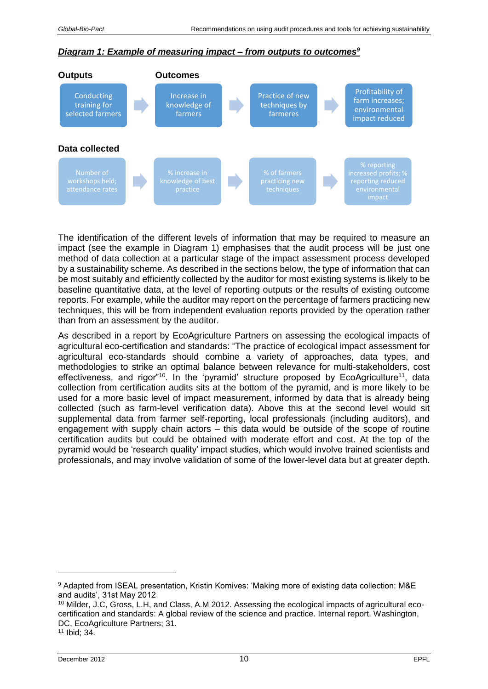#### *Diagram 1: Example of measuring impact – from outputs to outcomes<sup>9</sup>*



The identification of the different levels of information that may be required to measure an impact (see the example in Diagram 1) emphasises that the audit process will be just one method of data collection at a particular stage of the impact assessment process developed by a sustainability scheme. As described in the sections below, the type of information that can be most suitably and efficiently collected by the auditor for most existing systems is likely to be baseline quantitative data, at the level of reporting outputs or the results of existing outcome reports. For example, while the auditor may report on the percentage of farmers practicing new techniques, this will be from independent evaluation reports provided by the operation rather than from an assessment by the auditor.

As described in a report by EcoAgriculture Partners on assessing the ecological impacts of agricultural eco-certification and standards: "The practice of ecological impact assessment for agricultural eco-standards should combine a variety of approaches, data types, and methodologies to strike an optimal balance between relevance for multi-stakeholders, cost effectiveness, and rigor"<sup>10</sup>. In the 'pyramid' structure proposed by EcoAgriculture<sup>11</sup>, data collection from certification audits sits at the bottom of the pyramid, and is more likely to be used for a more basic level of impact measurement, informed by data that is already being collected (such as farm-level verification data). Above this at the second level would sit supplemental data from farmer self-reporting, local professionals (including auditors), and engagement with supply chain actors – this data would be outside of the scope of routine certification audits but could be obtained with moderate effort and cost. At the top of the pyramid would be 'research quality' impact studies, which would involve trained scientists and professionals, and may involve validation of some of the lower-level data but at greater depth.

<sup>9</sup> Adapted from ISEAL presentation, Kristin Komives: 'Making more of existing data collection: M&E and audits', 31st May 2012

<sup>&</sup>lt;sup>10</sup> Milder, J.C, Gross, L.H, and Class, A.M 2012. Assessing the ecological impacts of agricultural ecocertification and standards: A global review of the science and practice. Internal report. Washington, DC, EcoAgriculture Partners; 31.

<sup>11</sup> Ibid; 34.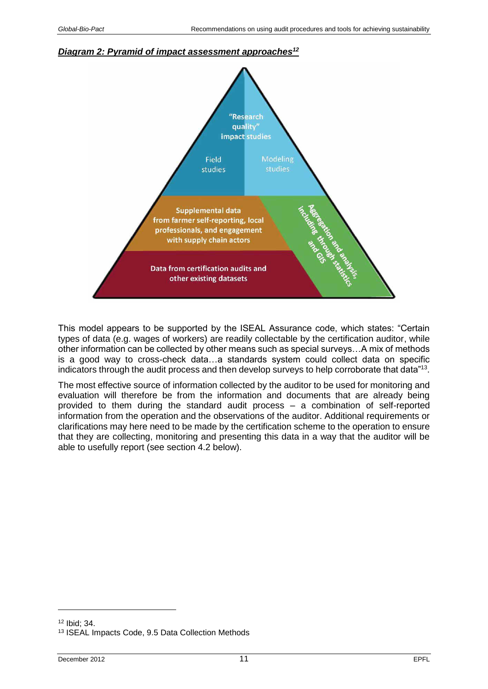#### *Diagram 2: Pyramid of impact assessment approaches<sup>12</sup>*



This model appears to be supported by the ISEAL Assurance code, which states: "Certain types of data (e.g. wages of workers) are readily collectable by the certification auditor, while other information can be collected by other means such as special surveys…A mix of methods is a good way to cross-check data…a standards system could collect data on specific indicators through the audit process and then develop surveys to help corroborate that data"<sup>13</sup>.

The most effective source of information collected by the auditor to be used for monitoring and evaluation will therefore be from the information and documents that are already being provided to them during the standard audit process – a combination of self-reported information from the operation and the observations of the auditor. Additional requirements or clarifications may here need to be made by the certification scheme to the operation to ensure that they are collecting, monitoring and presenting this data in a way that the auditor will be able to usefully report (see section 4.2 below).

<sup>12</sup> Ibid; 34.

<sup>13</sup> ISEAL Impacts Code, 9.5 Data Collection Methods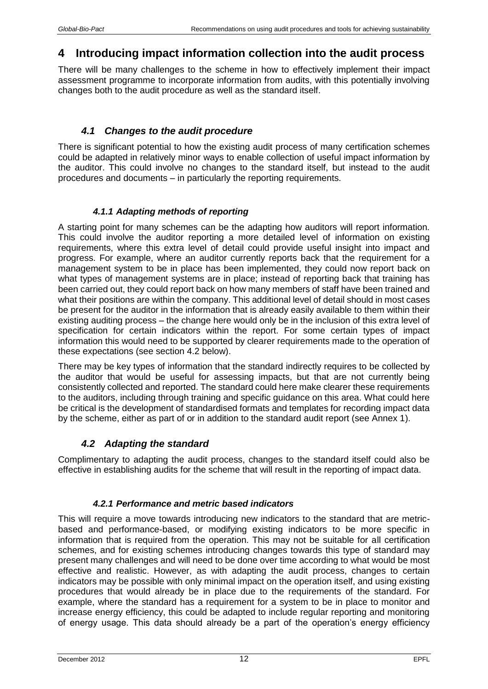# <span id="page-11-0"></span>**4 Introducing impact information collection into the audit process**

There will be many challenges to the scheme in how to effectively implement their impact assessment programme to incorporate information from audits, with this potentially involving changes both to the audit procedure as well as the standard itself.

## *4.1 Changes to the audit procedure*

<span id="page-11-1"></span>There is significant potential to how the existing audit process of many certification schemes could be adapted in relatively minor ways to enable collection of useful impact information by the auditor. This could involve no changes to the standard itself, but instead to the audit procedures and documents – in particularly the reporting requirements.

### *4.1.1 Adapting methods of reporting*

<span id="page-11-2"></span>A starting point for many schemes can be the adapting how auditors will report information. This could involve the auditor reporting a more detailed level of information on existing requirements, where this extra level of detail could provide useful insight into impact and progress. For example, where an auditor currently reports back that the requirement for a management system to be in place has been implemented, they could now report back on what types of management systems are in place; instead of reporting back that training has been carried out, they could report back on how many members of staff have been trained and what their positions are within the company. This additional level of detail should in most cases be present for the auditor in the information that is already easily available to them within their existing auditing process – the change here would only be in the inclusion of this extra level of specification for certain indicators within the report. For some certain types of impact information this would need to be supported by clearer requirements made to the operation of these expectations (see section 4.2 below).

There may be key types of information that the standard indirectly requires to be collected by the auditor that would be useful for assessing impacts, but that are not currently being consistently collected and reported. The standard could here make clearer these requirements to the auditors, including through training and specific guidance on this area. What could here be critical is the development of standardised formats and templates for recording impact data by the scheme, either as part of or in addition to the standard audit report (see Annex 1).

# *4.2 Adapting the standard*

<span id="page-11-3"></span>Complimentary to adapting the audit process, changes to the standard itself could also be effective in establishing audits for the scheme that will result in the reporting of impact data.

### *4.2.1 Performance and metric based indicators*

<span id="page-11-4"></span>This will require a move towards introducing new indicators to the standard that are metricbased and performance-based, or modifying existing indicators to be more specific in information that is required from the operation. This may not be suitable for all certification schemes, and for existing schemes introducing changes towards this type of standard may present many challenges and will need to be done over time according to what would be most effective and realistic. However, as with adapting the audit process, changes to certain indicators may be possible with only minimal impact on the operation itself, and using existing procedures that would already be in place due to the requirements of the standard. For example, where the standard has a requirement for a system to be in place to monitor and increase energy efficiency, this could be adapted to include regular reporting and monitoring of energy usage. This data should already be a part of the operation's energy efficiency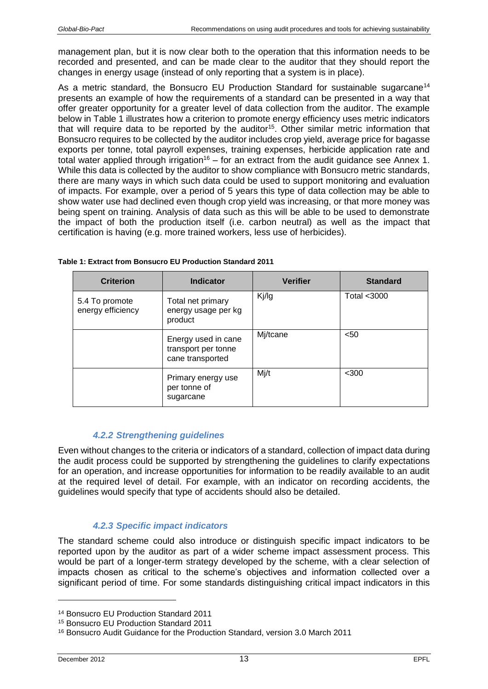management plan, but it is now clear both to the operation that this information needs to be recorded and presented, and can be made clear to the auditor that they should report the changes in energy usage (instead of only reporting that a system is in place).

As a metric standard, the Bonsucro EU Production Standard for sustainable sugarcane<sup>14</sup> presents an example of how the requirements of a standard can be presented in a way that offer greater opportunity for a greater level of data collection from the auditor. The example below in [Table 1](#page-12-2) illustrates how a criterion to promote energy efficiency uses metric indicators that will require data to be reported by the auditor<sup>15</sup>. Other similar metric information that Bonsucro requires to be collected by the auditor includes crop yield, average price for bagasse exports per tonne, total payroll expenses, training expenses, herbicide application rate and total water applied through irrigation<sup>16</sup> – for an extract from the audit guidance see Annex 1. While this data is collected by the auditor to show compliance with Bonsucro metric standards, there are many ways in which such data could be used to support monitoring and evaluation of impacts. For example, over a period of 5 years this type of data collection may be able to show water use had declined even though crop yield was increasing, or that more money was being spent on training. Analysis of data such as this will be able to be used to demonstrate the impact of both the production itself (i.e. carbon neutral) as well as the impact that certification is having (e.g. more trained workers, less use of herbicides).

| <b>Criterion</b>                    | <b>Indicator</b>                                               | <b>Verifier</b> | <b>Standard</b> |
|-------------------------------------|----------------------------------------------------------------|-----------------|-----------------|
| 5.4 To promote<br>energy efficiency | Total net primary<br>energy usage per kg<br>product            | Kj/lg           | Total <3000     |
|                                     | Energy used in cane<br>transport per tonne<br>cane transported | Mj/tcane        | $50$            |
|                                     | Primary energy use<br>per tonne of<br>sugarcane                | Mj/t            | $<$ 300         |

<span id="page-12-2"></span>

| Table 1: Extract from Bonsucro EU Production Standard 2011 |  |
|------------------------------------------------------------|--|
|------------------------------------------------------------|--|

### *4.2.2 Strengthening guidelines*

<span id="page-12-0"></span>Even without changes to the criteria or indicators of a standard, collection of impact data during the audit process could be supported by strengthening the guidelines to clarify expectations for an operation, and increase opportunities for information to be readily available to an audit at the required level of detail. For example, with an indicator on recording accidents, the guidelines would specify that type of accidents should also be detailed.

### *4.2.3 Specific impact indicators*

<span id="page-12-1"></span>The standard scheme could also introduce or distinguish specific impact indicators to be reported upon by the auditor as part of a wider scheme impact assessment process. This would be part of a longer-term strategy developed by the scheme, with a clear selection of impacts chosen as critical to the scheme's objectives and information collected over a significant period of time. For some standards distinguishing critical impact indicators in this

<sup>14</sup> Bonsucro EU Production Standard 2011

<sup>15</sup> Bonsucro EU Production Standard 2011

<sup>16</sup> Bonsucro Audit Guidance for the Production Standard, version 3.0 March 2011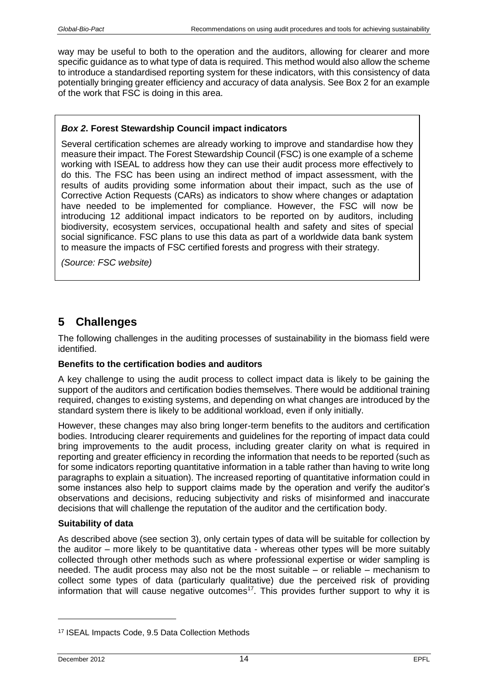way may be useful to both to the operation and the auditors, allowing for clearer and more specific guidance as to what type of data is required. This method would also allow the scheme to introduce a standardised reporting system for these indicators, with this consistency of data potentially bringing greater efficiency and accuracy of data analysis. See Box 2 for an example of the work that FSC is doing in this area.

#### *Box 2***. Forest Stewardship Council impact indicators**

Several certification schemes are already working to improve and standardise how they measure their impact. The Forest Stewardship Council (FSC) is one example of a scheme working with ISEAL to address how they can use their audit process more effectively to do this. The FSC has been using an indirect method of impact assessment, with the results of audits providing some information about their impact, such as the use of Corrective Action Requests (CARs) as indicators to show where changes or adaptation have needed to be implemented for compliance. However, the FSC will now be introducing 12 additional impact indicators to be reported on by auditors, including biodiversity, ecosystem services, occupational health and safety and sites of special social significance. FSC plans to use this data as part of a worldwide data bank system to measure the impacts of FSC certified forests and progress with their strategy.

*(Source: FSC website)*

# <span id="page-13-0"></span>**5 Challenges**

The following challenges in the auditing processes of sustainability in the biomass field were identified.

#### **Benefits to the certification bodies and auditors**

A key challenge to using the audit process to collect impact data is likely to be gaining the support of the auditors and certification bodies themselves. There would be additional training required, changes to existing systems, and depending on what changes are introduced by the standard system there is likely to be additional workload, even if only initially.

However, these changes may also bring longer-term benefits to the auditors and certification bodies. Introducing clearer requirements and guidelines for the reporting of impact data could bring improvements to the audit process, including greater clarity on what is required in reporting and greater efficiency in recording the information that needs to be reported (such as for some indicators reporting quantitative information in a table rather than having to write long paragraphs to explain a situation). The increased reporting of quantitative information could in some instances also help to support claims made by the operation and verify the auditor's observations and decisions, reducing subjectivity and risks of misinformed and inaccurate decisions that will challenge the reputation of the auditor and the certification body.

#### **Suitability of data**

As described above (see section 3), only certain types of data will be suitable for collection by the auditor – more likely to be quantitative data - whereas other types will be more suitably collected through other methods such as where professional expertise or wider sampling is needed. The audit process may also not be the most suitable – or reliable – mechanism to collect some types of data (particularly qualitative) due the perceived risk of providing information that will cause negative outcomes<sup>17</sup>. This provides further support to why it is

<sup>17</sup> ISEAL Impacts Code, 9.5 Data Collection Methods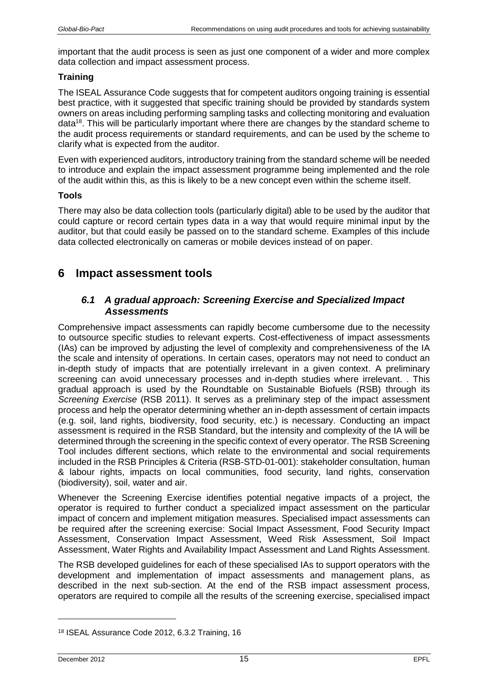important that the audit process is seen as just one component of a wider and more complex data collection and impact assessment process.

### **Training**

The ISEAL Assurance Code suggests that for competent auditors ongoing training is essential best practice, with it suggested that specific training should be provided by standards system owners on areas including performing sampling tasks and collecting monitoring and evaluation data<sup>18</sup>. This will be particularly important where there are changes by the standard scheme to the audit process requirements or standard requirements, and can be used by the scheme to clarify what is expected from the auditor.

Even with experienced auditors, introductory training from the standard scheme will be needed to introduce and explain the impact assessment programme being implemented and the role of the audit within this, as this is likely to be a new concept even within the scheme itself.

### **Tools**

There may also be data collection tools (particularly digital) able to be used by the auditor that could capture or record certain types data in a way that would require minimal input by the auditor, but that could easily be passed on to the standard scheme. Examples of this include data collected electronically on cameras or mobile devices instead of on paper.

# <span id="page-14-1"></span><span id="page-14-0"></span>**6 Impact assessment tools**

### *6.1 A gradual approach: Screening Exercise and Specialized Impact Assessments*

Comprehensive impact assessments can rapidly become cumbersome due to the necessity to outsource specific studies to relevant experts. Cost-effectiveness of impact assessments (IAs) can be improved by adjusting the level of complexity and comprehensiveness of the IA the scale and intensity of operations. In certain cases, operators may not need to conduct an in-depth study of impacts that are potentially irrelevant in a given context. A preliminary screening can avoid unnecessary processes and in-depth studies where irrelevant. . This gradual approach is used by the Roundtable on Sustainable Biofuels (RSB) through its *Screening Exercise* (RSB 2011). It serves as a preliminary step of the impact assessment process and help the operator determining whether an in-depth assessment of certain impacts (e.g. soil, land rights, biodiversity, food security, etc.) is necessary. Conducting an impact assessment is required in the RSB Standard, but the intensity and complexity of the IA will be determined through the screening in the specific context of every operator. The RSB Screening Tool includes different sections, which relate to the environmental and social requirements included in the RSB Principles & Criteria (RSB-STD-01-001): stakeholder consultation, human & labour rights, impacts on local communities, food security, land rights, conservation (biodiversity), soil, water and air.

Whenever the Screening Exercise identifies potential negative impacts of a project, the operator is required to further conduct a specialized impact assessment on the particular impact of concern and implement mitigation measures. Specialised impact assessments can be required after the screening exercise: Social Impact Assessment, Food Security Impact Assessment, Conservation Impact Assessment, Weed Risk Assessment, Soil Impact Assessment, Water Rights and Availability Impact Assessment and Land Rights Assessment.

The RSB developed guidelines for each of these specialised IAs to support operators with the development and implementation of impact assessments and management plans, as described in the next sub-section. At the end of the RSB impact assessment process, operators are required to compile all the results of the screening exercise, specialised impact

<sup>18</sup> ISEAL Assurance Code 2012, 6.3.2 Training, 16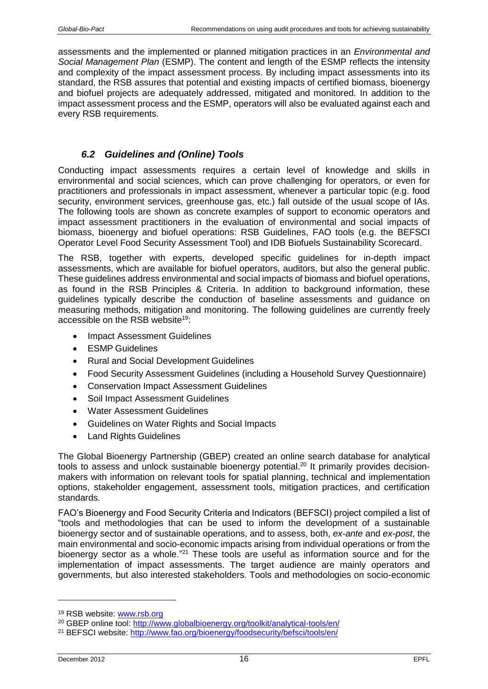assessments and the implemented or planned mitigation practices in an *Environmental and Social Management Plan* (ESMP). The content and length of the ESMP reflects the intensity and complexity of the impact assessment process. By including impact assessments into its standard, the RSB assures that potential and existing impacts of certified biomass, bioenergy and biofuel projects are adequately addressed, mitigated and monitored. In addition to the impact assessment process and the ESMP, operators will also be evaluated against each and every RSB requirements.

### *6.2 Guidelines and (Online) Tools*

<span id="page-15-0"></span>Conducting impact assessments requires a certain level of knowledge and skills in environmental and social sciences, which can prove challenging for operators, or even for practitioners and professionals in impact assessment, whenever a particular topic (e.g. food security, environment services, greenhouse gas, etc.) fall outside of the usual scope of IAs. The following tools are shown as concrete examples of support to economic operators and impact assessment practitioners in the evaluation of environmental and social impacts of biomass, bioenergy and biofuel operations: RSB Guidelines, FAO tools (e.g. the BEFSCI Operator Level Food Security Assessment Tool) and IDB Biofuels Sustainability Scorecard.

The RSB, together with experts, developed specific guidelines for in-depth impact assessments, which are available for biofuel operators, auditors, but also the general public. These guidelines address environmental and social impacts of biomass and biofuel operations, as found in the RSB Principles & Criteria. In addition to background information, these guidelines typically describe the conduction of baseline assessments and guidance on measuring methods, mitigation and monitoring. The following guidelines are currently freely accessible on the RSB website<sup>19</sup>:

- Impact Assessment Guidelines
- ESMP Guidelines
- Rural and Social Development Guidelines
- Food Security Assessment Guidelines (including a Household Survey Questionnaire)
- Conservation Impact Assessment Guidelines
- Soil Impact Assessment Guidelines
- Water Assessment Guidelines
- Guidelines on Water Rights and Social Impacts
- Land Rights Guidelines

The Global Bioenergy Partnership (GBEP) created an online search database for analytical tools to assess and unlock sustainable bioenergy potential.<sup>20</sup> It primarily provides decisionmakers with information on relevant tools for spatial planning, technical and implementation options, stakeholder engagement, assessment tools, mitigation practices, and certification standards.

FAO's Bioenergy and Food Security Criteria and Indicators (BEFSCI) project compiled a list of "tools and methodologies that can be used to inform the development of a sustainable bioenergy sector and of sustainable operations, and to assess, both, *ex-ante* and *ex-post*, the main environmental and socio-economic impacts arising from individual operations or from the bioenergy sector as a whole."<sup>21</sup> These tools are useful as information source and for the implementation of impact assessments. The target audience are mainly operators and governments, but also interested stakeholders. Tools and methodologies on socio-economic

<sup>19</sup> RSB website: [www.rsb.org](http://www.rsb.org/)

<sup>20</sup> GBEP online tool:<http://www.globalbioenergy.org/toolkit/analytical-tools/en/>

<sup>21</sup> BEFSCI website: <http://www.fao.org/bioenergy/foodsecurity/befsci/tools/en/>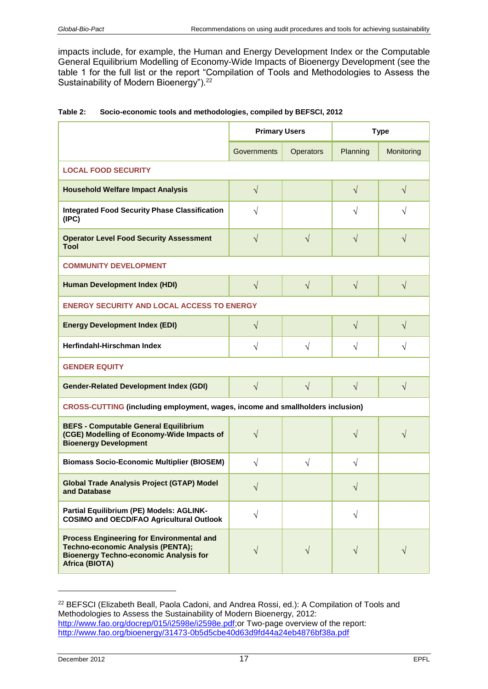impacts include, for example, the Human and Energy Development Index or the Computable General Equilibrium Modelling of Economy-Wide Impacts of Bioenergy Development (see the table 1 for the full list or the report "Compilation of Tools and Methodologies to Assess the Sustainability of Modern Bioenergy").<sup>22</sup>

|                                                                                                                                                          | <b>Primary Users</b> |           | <b>Type</b> |            |
|----------------------------------------------------------------------------------------------------------------------------------------------------------|----------------------|-----------|-------------|------------|
|                                                                                                                                                          | Governments          | Operators | Planning    | Monitoring |
| <b>LOCAL FOOD SECURITY</b>                                                                                                                               |                      |           |             |            |
| <b>Household Welfare Impact Analysis</b>                                                                                                                 | $\sqrt{ }$           |           | $\sqrt{}$   | $\sqrt{}$  |
| <b>Integrated Food Security Phase Classification</b><br>(IPC)                                                                                            | $\sqrt{}$            |           | V           | V          |
| <b>Operator Level Food Security Assessment</b><br>Tool                                                                                                   | $\sqrt{}$            | $\sqrt{}$ | V           | V          |
| <b>COMMUNITY DEVELOPMENT</b>                                                                                                                             |                      |           |             |            |
| <b>Human Development Index (HDI)</b>                                                                                                                     | $\sqrt{}$            | $\sqrt{}$ | $\sqrt{}$   | $\sqrt{}$  |
| <b>ENERGY SECURITY AND LOCAL ACCESS TO ENERGY</b>                                                                                                        |                      |           |             |            |
| <b>Energy Development Index (EDI)</b>                                                                                                                    | $\sqrt{}$            |           | $\sqrt{}$   | $\sqrt{}$  |
| Herfindahl-Hirschman Index                                                                                                                               | $\sqrt{ }$           | $\sqrt{}$ | $\sqrt{}$   | V          |
| <b>GENDER EQUITY</b>                                                                                                                                     |                      |           |             |            |
| <b>Gender-Related Development Index (GDI)</b>                                                                                                            | $\sqrt{ }$           | $\sqrt{}$ | $\sqrt{ }$  | $\sqrt{}$  |
| CROSS-CUTTING (including employment, wages, income and smallholders inclusion)                                                                           |                      |           |             |            |
| <b>BEFS - Computable General Equilibrium</b><br>(CGE) Modelling of Economy-Wide Impacts of<br><b>Bioenergy Development</b>                               | $\sqrt{}$            |           | $\sqrt{}$   | V          |
| <b>Biomass Socio-Economic Multiplier (BIOSEM)</b>                                                                                                        | $\sqrt{}$            | $\sqrt{}$ | V           |            |
| <b>Global Trade Analysis Project (GTAP) Model</b><br>and Database                                                                                        | $\sqrt{}$            |           | $\sqrt{}$   |            |
| Partial Equilibrium (PE) Models: AGLINK-<br><b>COSIMO and OECD/FAO Agricultural Outlook</b>                                                              |                      |           | V           |            |
| <b>Process Engineering for Environmental and</b><br>Techno-economic Analysis (PENTA);<br><b>Bioenergy Techno-economic Analysis for</b><br>Africa (BIOTA) |                      | V         |             |            |

| Table 2: | Socio-economic tools and methodologies, compiled by BEFSCI, 2012 |  |
|----------|------------------------------------------------------------------|--|
|----------|------------------------------------------------------------------|--|

<sup>&</sup>lt;sup>22</sup> BEFSCI (Elizabeth Beall, Paola Cadoni, and Andrea Rossi, ed.): A Compilation of Tools and Methodologies to Assess the Sustainability of Modern Bioenergy, 2012: [http://www.fao.org/docrep/015/i2598e/i2598e.pdf;](http://www.fao.org/docrep/015/i2598e/i2598e.pdf)or Two-page overview of the report: <http://www.fao.org/bioenergy/31473-0b5d5cbe40d63d9fd44a24eb4876bf38a.pdf>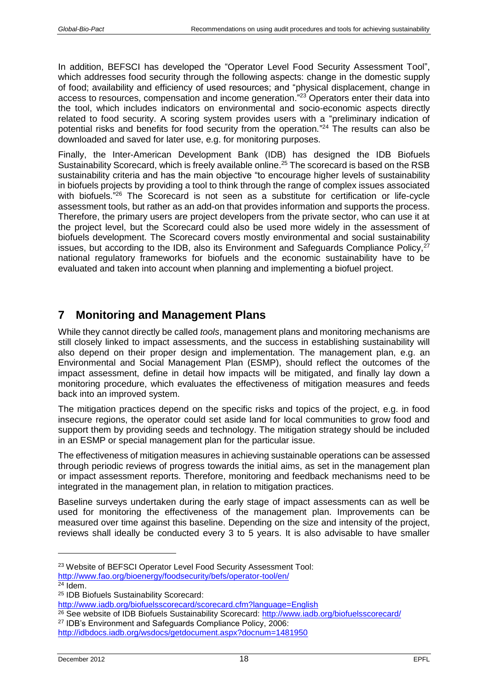In addition, BEFSCI has developed the "Operator Level Food Security Assessment Tool", which addresses food security through the following aspects: change in the domestic supply of food; availability and efficiency of used resources; and "physical displacement, change in access to resources, compensation and income generation."<sup>23</sup> Operators enter their data into the tool, which includes indicators on environmental and socio-economic aspects directly related to food security. A scoring system provides users with a "preliminary indication of potential risks and benefits for food security from the operation." <sup>24</sup> The results can also be downloaded and saved for later use, e.g. for monitoring purposes.

Finally, the Inter-American Development Bank (IDB) has designed the IDB Biofuels Sustainability Scorecard, which is freely available online. <sup>25</sup> The scorecard is based on the RSB sustainability criteria and has the main objective "to encourage higher levels of sustainability in biofuels projects by providing a tool to think through the range of complex issues associated with biofuels."<sup>26</sup> The Scorecard is not seen as a substitute for certification or life-cycle assessment tools, but rather as an add-on that provides information and supports the process. Therefore, the primary users are project developers from the private sector, who can use it at the project level, but the Scorecard could also be used more widely in the assessment of biofuels development. The Scorecard covers mostly environmental and social sustainability issues, but according to the IDB, also its Environment and Safeguards Compliance Policy,<sup>27</sup> national regulatory frameworks for biofuels and the economic sustainability have to be evaluated and taken into account when planning and implementing a biofuel project.

# <span id="page-17-0"></span>**7 Monitoring and Management Plans**

While they cannot directly be called *tools*, management plans and monitoring mechanisms are still closely linked to impact assessments, and the success in establishing sustainability will also depend on their proper design and implementation. The management plan, e.g. an Environmental and Social Management Plan (ESMP), should reflect the outcomes of the impact assessment, define in detail how impacts will be mitigated, and finally lay down a monitoring procedure, which evaluates the effectiveness of mitigation measures and feeds back into an improved system.

The mitigation practices depend on the specific risks and topics of the project, e.g. in food insecure regions, the operator could set aside land for local communities to grow food and support them by providing seeds and technology. The mitigation strategy should be included in an ESMP or special management plan for the particular issue.

The effectiveness of mitigation measures in achieving sustainable operations can be assessed through periodic reviews of progress towards the initial aims, as set in the management plan or impact assessment reports. Therefore, monitoring and feedback mechanisms need to be integrated in the management plan, in relation to mitigation practices.

Baseline surveys undertaken during the early stage of impact assessments can as well be used for monitoring the effectiveness of the management plan. Improvements can be measured over time against this baseline. Depending on the size and intensity of the project, reviews shall ideally be conducted every 3 to 5 years. It is also advisable to have smaller

<sup>23</sup> Website of BEFSCI Operator Level Food Security Assessment Tool:

<http://www.fao.org/bioenergy/foodsecurity/befs/operator-tool/en/>

 $24$  Idem.

<sup>25</sup> IDB Biofuels Sustainability Scorecard:

<http://www.iadb.org/biofuelsscorecard/scorecard.cfm?language=English> <sup>26</sup> See website of IDB Biofuels Sustainability Scorecard:<http://www.iadb.org/biofuelsscorecard/>

<sup>27</sup> IDB's Environment and Safeguards Compliance Policy, 2006:

<http://idbdocs.iadb.org/wsdocs/getdocument.aspx?docnum=1481950>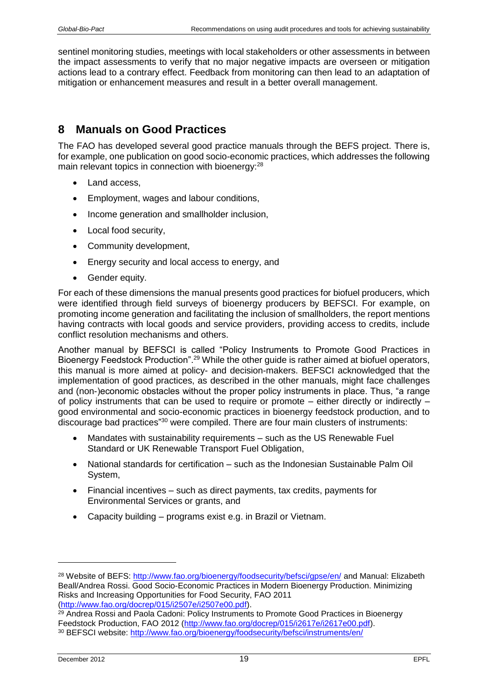sentinel monitoring studies, meetings with local stakeholders or other assessments in between the impact assessments to verify that no major negative impacts are overseen or mitigation actions lead to a contrary effect. Feedback from monitoring can then lead to an adaptation of mitigation or enhancement measures and result in a better overall management.

# <span id="page-18-0"></span>**8 Manuals on Good Practices**

The FAO has developed several good practice manuals through the BEFS project. There is, for example, one publication on good socio-economic practices, which addresses the following main relevant topics in connection with bioenergy:<sup>28</sup>

- Land access,
- Employment, wages and labour conditions,
- Income generation and smallholder inclusion.
- Local food security.
- Community development,
- Energy security and local access to energy, and
- Gender equity.

For each of these dimensions the manual presents good practices for biofuel producers, which were identified through field surveys of bioenergy producers by BEFSCI. For example, on promoting income generation and facilitating the inclusion of smallholders, the report mentions having contracts with local goods and service providers, providing access to credits, include conflict resolution mechanisms and others.

Another manual by BEFSCI is called "Policy Instruments to Promote Good Practices in Bioenergy Feedstock Production".<sup>29</sup> While the other guide is rather aimed at biofuel operators, this manual is more aimed at policy- and decision-makers. BEFSCI acknowledged that the implementation of good practices, as described in the other manuals, might face challenges and (non-)economic obstacles without the proper policy instruments in place. Thus, "a range of policy instruments that can be used to require or promote – either directly or indirectly – good environmental and socio-economic practices in bioenergy feedstock production, and to discourage bad practices"<sup>30</sup> were compiled. There are four main clusters of instruments:

- Mandates with sustainability requirements such as the US Renewable Fuel Standard or UK Renewable Transport Fuel Obligation,
- National standards for certification such as the Indonesian Sustainable Palm Oil System,
- Financial incentives such as direct payments, tax credits, payments for Environmental Services or grants, and
- Capacity building programs exist e.g. in Brazil or Vietnam.

<sup>&</sup>lt;sup>28</sup> Website of BEFS:<http://www.fao.org/bioenergy/foodsecurity/befsci/gpse/en/> and Manual: Elizabeth Beall/Andrea Rossi. Good Socio-Economic Practices in Modern Bioenergy Production. Minimizing Risks and Increasing Opportunities for Food Security, FAO 2011 [\(http://www.fao.org/docrep/015/i2507e/i2507e00.pdf\)](http://www.fao.org/docrep/015/i2507e/i2507e00.pdf).

<sup>&</sup>lt;sup>29</sup> Andrea Rossi and Paola Cadoni: Policy Instruments to Promote Good Practices in Bioenergy Feedstock Production, FAO 2012 [\(http://www.fao.org/docrep/015/i2617e/i2617e00.pdf\)](http://www.fao.org/docrep/015/i2617e/i2617e00.pdf). <sup>30</sup> BEFSCI website:<http://www.fao.org/bioenergy/foodsecurity/befsci/instruments/en/>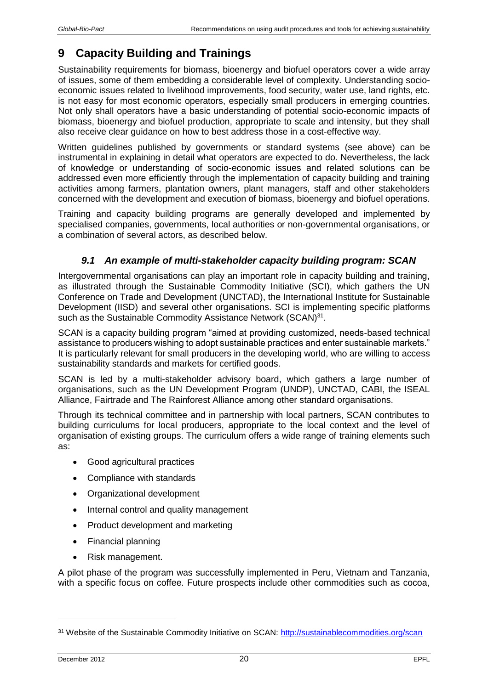# <span id="page-19-0"></span>**9 Capacity Building and Trainings**

Sustainability requirements for biomass, bioenergy and biofuel operators cover a wide array of issues, some of them embedding a considerable level of complexity. Understanding socioeconomic issues related to livelihood improvements, food security, water use, land rights, etc. is not easy for most economic operators, especially small producers in emerging countries. Not only shall operators have a basic understanding of potential socio-economic impacts of biomass, bioenergy and biofuel production, appropriate to scale and intensity, but they shall also receive clear guidance on how to best address those in a cost-effective way.

Written guidelines published by governments or standard systems (see above) can be instrumental in explaining in detail what operators are expected to do. Nevertheless, the lack of knowledge or understanding of socio-economic issues and related solutions can be addressed even more efficiently through the implementation of capacity building and training activities among farmers, plantation owners, plant managers, staff and other stakeholders concerned with the development and execution of biomass, bioenergy and biofuel operations.

Training and capacity building programs are generally developed and implemented by specialised companies, governments, local authorities or non-governmental organisations, or a combination of several actors, as described below.

### *9.1 An example of multi-stakeholder capacity building program: SCAN*

<span id="page-19-1"></span>Intergovernmental organisations can play an important role in capacity building and training, as illustrated through the Sustainable Commodity Initiative (SCI), which gathers the UN Conference on Trade and Development (UNCTAD), the International Institute for Sustainable Development (IISD) and several other organisations. SCI is implementing specific platforms such as the Sustainable Commodity Assistance Network (SCAN)<sup>31</sup>.

SCAN is a capacity building program "aimed at providing customized, needs-based technical assistance to producers wishing to adopt sustainable practices and enter sustainable markets." It is particularly relevant for small producers in the developing world, who are willing to access sustainability standards and markets for certified goods.

SCAN is led by a multi-stakeholder advisory board, which gathers a large number of organisations, such as the UN Development Program (UNDP), UNCTAD, CABI, the ISEAL Alliance, Fairtrade and The Rainforest Alliance among other standard organisations.

Through its technical committee and in partnership with local partners, SCAN contributes to building curriculums for local producers, appropriate to the local context and the level of organisation of existing groups. The curriculum offers a wide range of training elements such as:

- Good agricultural practices
- Compliance with standards
- Organizational development
- Internal control and quality management
- Product development and marketing
- Financial planning
- Risk management.

A pilot phase of the program was successfully implemented in Peru, Vietnam and Tanzania, with a specific focus on coffee. Future prospects include other commodities such as cocoa,

<sup>&</sup>lt;sup>31</sup> Website of the Sustainable Commodity Initiative on SCAN:<http://sustainablecommodities.org/scan>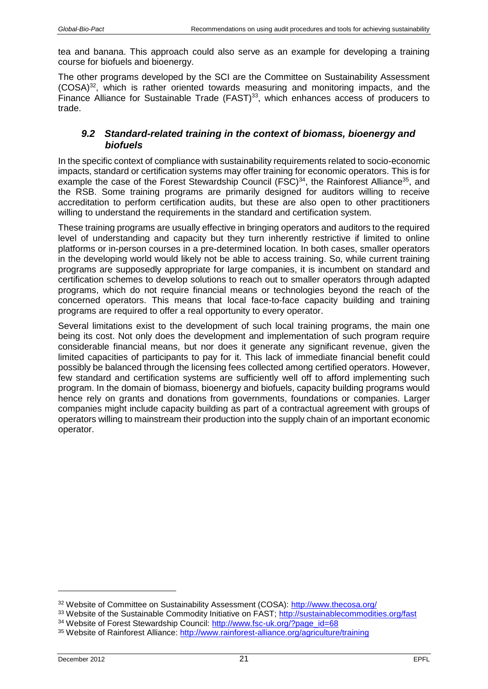tea and banana. This approach could also serve as an example for developing a training course for biofuels and bioenergy.

The other programs developed by the SCI are the Committee on Sustainability Assessment (COSA)<sup>32</sup>, which is rather oriented towards measuring and monitoring impacts, and the Finance Alliance for Sustainable Trade (FAST)<sup>33</sup>, which enhances access of producers to trade.

### <span id="page-20-0"></span>*9.2 Standard-related training in the context of biomass, bioenergy and biofuels*

In the specific context of compliance with sustainability requirements related to socio-economic impacts, standard or certification systems may offer training for economic operators. This is for example the case of the Forest Stewardship Council (FSC)<sup>34</sup>, the Rainforest Alliance<sup>35</sup>, and the RSB. Some training programs are primarily designed for auditors willing to receive accreditation to perform certification audits, but these are also open to other practitioners willing to understand the requirements in the standard and certification system.

These training programs are usually effective in bringing operators and auditors to the required level of understanding and capacity but they turn inherently restrictive if limited to online platforms or in-person courses in a pre-determined location. In both cases, smaller operators in the developing world would likely not be able to access training. So, while current training programs are supposedly appropriate for large companies, it is incumbent on standard and certification schemes to develop solutions to reach out to smaller operators through adapted programs, which do not require financial means or technologies beyond the reach of the concerned operators. This means that local face-to-face capacity building and training programs are required to offer a real opportunity to every operator.

Several limitations exist to the development of such local training programs, the main one being its cost. Not only does the development and implementation of such program require considerable financial means, but nor does it generate any significant revenue, given the limited capacities of participants to pay for it. This lack of immediate financial benefit could possibly be balanced through the licensing fees collected among certified operators. However, few standard and certification systems are sufficiently well off to afford implementing such program. In the domain of biomass, bioenergy and biofuels, capacity building programs would hence rely on grants and donations from governments, foundations or companies. Larger companies might include capacity building as part of a contractual agreement with groups of operators willing to mainstream their production into the supply chain of an important economic operator.

<sup>32</sup> Website of Committee on Sustainability Assessment (COSA):<http://www.thecosa.org/>

<sup>&</sup>lt;sup>33</sup> Website of the Sustainable Commodity Initiative on FAST;<http://sustainablecommodities.org/fast> <sup>34</sup> Website of Forest Stewardship Council: [http://www.fsc-uk.org/?page\\_id=68](http://www.fsc-uk.org/?page_id=68)

<sup>35</sup> Website of Rainforest Alliance:<http://www.rainforest-alliance.org/agriculture/training>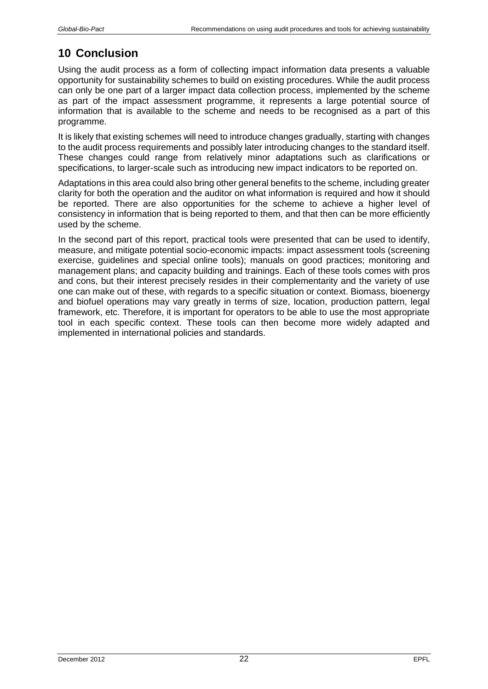# <span id="page-21-0"></span>**10 Conclusion**

Using the audit process as a form of collecting impact information data presents a valuable opportunity for sustainability schemes to build on existing procedures. While the audit process can only be one part of a larger impact data collection process, implemented by the scheme as part of the impact assessment programme, it represents a large potential source of information that is available to the scheme and needs to be recognised as a part of this programme.

It is likely that existing schemes will need to introduce changes gradually, starting with changes to the audit process requirements and possibly later introducing changes to the standard itself. These changes could range from relatively minor adaptations such as clarifications or specifications, to larger-scale such as introducing new impact indicators to be reported on.

Adaptations in this area could also bring other general benefits to the scheme, including greater clarity for both the operation and the auditor on what information is required and how it should be reported. There are also opportunities for the scheme to achieve a higher level of consistency in information that is being reported to them, and that then can be more efficiently used by the scheme.

In the second part of this report, practical tools were presented that can be used to identify, measure, and mitigate potential socio-economic impacts: impact assessment tools (screening exercise, guidelines and special online tools); manuals on good practices; monitoring and management plans; and capacity building and trainings. Each of these tools comes with pros and cons, but their interest precisely resides in their complementarity and the variety of use one can make out of these, with regards to a specific situation or context. Biomass, bioenergy and biofuel operations may vary greatly in terms of size, location, production pattern, legal framework, etc. Therefore, it is important for operators to be able to use the most appropriate tool in each specific context. These tools can then become more widely adapted and implemented in international policies and standards.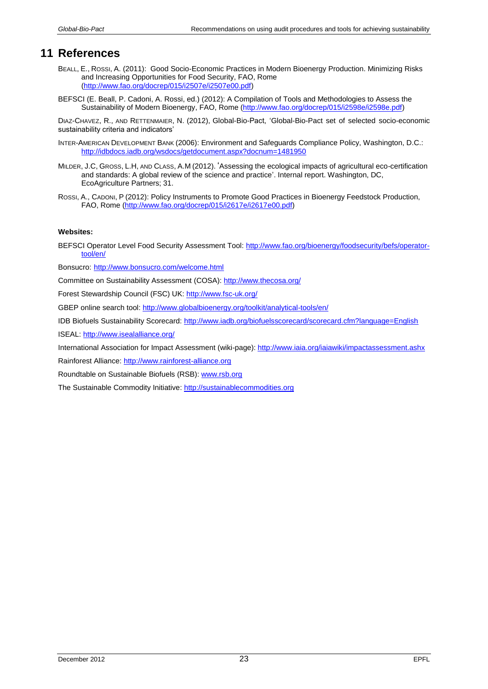### <span id="page-22-0"></span>**11 References**

- BEALL, E., ROSSI, A. (2011): Good Socio-Economic Practices in Modern Bioenergy Production. Minimizing Risks and Increasing Opportunities for Food Security, FAO, Rome [\(http://www.fao.org/docrep/015/i2507e/i2507e00.pdf\)](http://www.fao.org/docrep/015/i2507e/i2507e00.pdf)
- BEFSCI (E. Beall, P. Cadoni, A. Rossi, ed.) (2012): A Compilation of Tools and Methodologies to Assess the Sustainability of Modern Bioenergy, FAO, Rome [\(http://www.fao.org/docrep/015/i2598e/i2598e.pdf\)](http://www.fao.org/docrep/015/i2598e/i2598e.pdf)

DIAZ-CHAVEZ, R., AND RETTENMAIER, N. (2012), Global-Bio-Pact, 'Global-Bio-Pact set of selected socio-economic sustainability criteria and indicators'

- INTER-AMERICAN DEVELOPMENT BANK (2006): Environment and Safeguards Compliance Policy, Washington, D.C.: <http://idbdocs.iadb.org/wsdocs/getdocument.aspx?docnum=1481950>
- MILDER, J.C, GROSS, L.H, AND CLASS, A.M (2012). 'Assessing the ecological impacts of agricultural eco-certification and standards: A global review of the science and practice'. Internal report. Washington, DC, EcoAgriculture Partners; 31.
- ROSSI, A., CADONI, P (2012): Policy Instruments to Promote Good Practices in Bioenergy Feedstock Production, FAO, Rome [\(http://www.fao.org/docrep/015/i2617e/i2617e00.pdf\)](http://www.fao.org/docrep/015/i2617e/i2617e00.pdf)

#### **Websites:**

BEFSCI Operator Level Food Security Assessment Tool: [http://www.fao.org/bioenergy/foodsecurity/befs/operator](http://www.fao.org/bioenergy/foodsecurity/befs/operator-tool/en/)[tool/en/](http://www.fao.org/bioenergy/foodsecurity/befs/operator-tool/en/)

Bonsucro: <http://www.bonsucro.com/welcome.html>

Committee on Sustainability Assessment (COSA):<http://www.thecosa.org/>

Forest Stewardship Council (FSC) UK:<http://www.fsc-uk.org/>

GBEP online search tool:<http://www.globalbioenergy.org/toolkit/analytical-tools/en/>

IDB Biofuels Sustainability Scorecard:<http://www.iadb.org/biofuelsscorecard/scorecard.cfm?language=English>

ISEAL:<http://www.isealalliance.org/>

International Association for Impact Assessment (wiki-page)[: http://www.iaia.org/iaiawiki/impactassessment.ashx](http://www.iaia.org/iaiawiki/impactassessment.ashx)

Rainforest Alliance: [http://www.rainforest-alliance.org](http://www.rainforest-alliance.org/)

Roundtable on Sustainable Biofuels (RSB)[: www.rsb.org](http://www.rsb.org/)

The Sustainable Commodity Initiative[: http://sustainablecommodities.org](http://sustainablecommodities.org/)